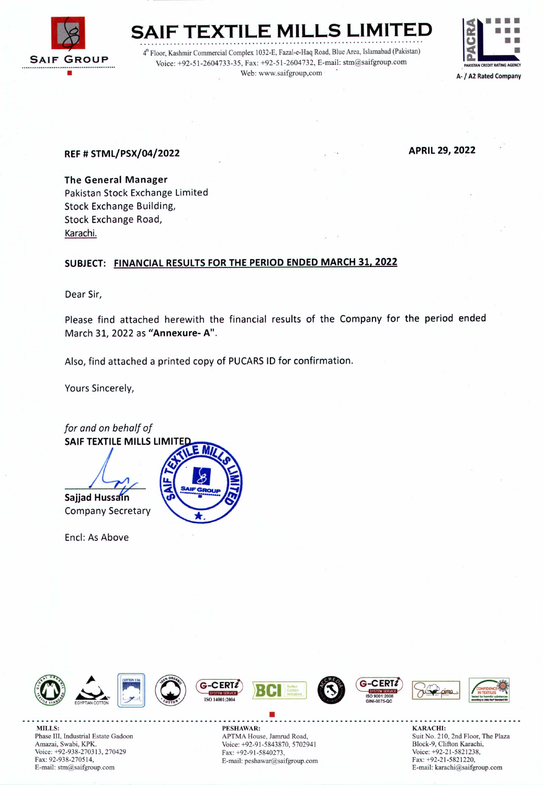

**SAIF**  $\overline{\text{TEXTILE}}$  MILLS  $|$ LIMITE<mark>D</mark>

4<sup>th</sup> Floor, Kashmir Commercial Complex 1032-E, Fazal-e-Haq Road, Blue Area, Islamabad (Pakistan) Voice: +92-51-2604733-35, Fax: +92-51-2604732, E-mail: stm@saifgroup.com Web: www.saifgroup,com



## REF # STML/PSX/04/2022 APRIL 29, <sup>2022</sup>

The General Manager Pakistan Stock Exchange Limited Stock Exchange Building, Stock Exchange Road, Karachi.

## SUBJECT: FINANCIAL RESULTS FOR THE PERIOD ENDED MARCH 31, 2022

Dear Sir,

Please find attached herewith the financial results of the Company for the period ended March 31, 2022 as "Annexure- A".

Also, find attached a printed copy of PUCARSID for confirmation.

Yours Sincerely,





Phase III, lndustrial Estate Gadoon Amazai, Swabi, KPK. Voice: +92-938-270313, 270429 Fax: 92-938-270514, E-mail: strn@saifgroup.com

• MILLS: SARACHI: PESHAWAR: THE SHAWAR: SARACHI: SARACHI: SARACHI: SARACHI: SARACHI: SARACHI: SARACHI: SARACHI: SARACHI: SARACHI: SARACHI: SARACHI: SARACHI: SARACHI: SARACHI: SARACHI: SARACHI: SARACHI: SARACHI: SARACHI: SARA APTMA House, Jamrud Road, Voice: +92-91-5843870, 5702941 Fax: +92-91-5840273, E-mail: peshawar@saifgroup.com

Suit No. 210, 2nd Floor, The Plaza Block-9, Clifton Karachi, Voice: +92-21-5821238, Fax: +92-21-5821220, E-mail: karachi@saifgroup.com